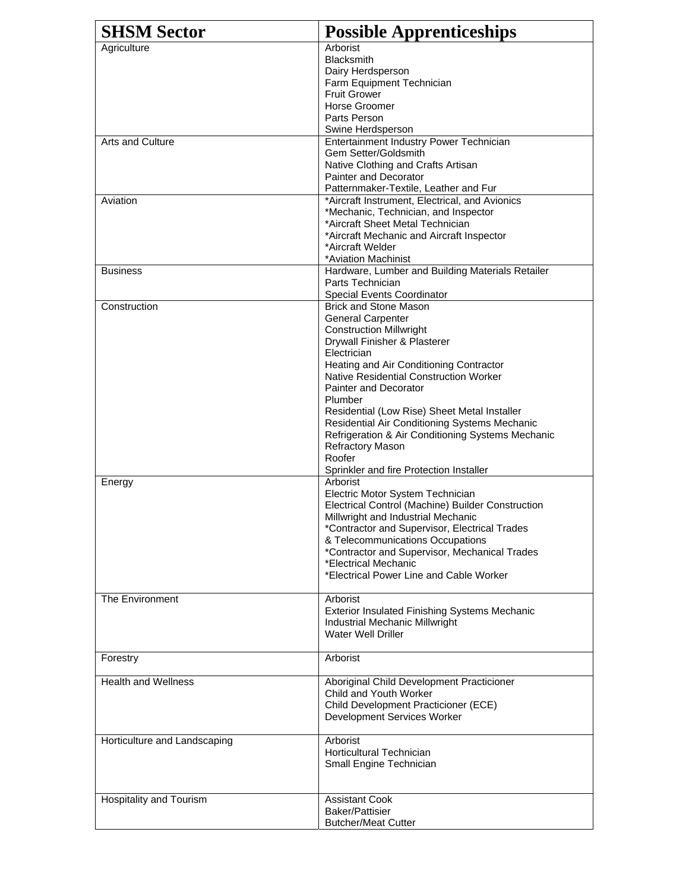| <b>SHSM Sector</b>           | <b>Possible Apprenticeships</b>                                                                                                                                                                                                                                                                                                                                                                                                                                                                                        |
|------------------------------|------------------------------------------------------------------------------------------------------------------------------------------------------------------------------------------------------------------------------------------------------------------------------------------------------------------------------------------------------------------------------------------------------------------------------------------------------------------------------------------------------------------------|
| Agriculture                  | Arborist<br><b>Blacksmith</b><br>Dairy Herdsperson<br>Farm Equipment Technician<br><b>Fruit Grower</b><br>Horse Groomer<br>Parts Person<br>Swine Herdsperson                                                                                                                                                                                                                                                                                                                                                           |
| Arts and Culture             | Entertainment Industry Power Technician<br>Gem Setter/Goldsmith<br>Native Clothing and Crafts Artisan<br>Painter and Decorator<br>Patternmaker-Textile, Leather and Fur                                                                                                                                                                                                                                                                                                                                                |
| Aviation                     | *Aircraft Instrument, Electrical, and Avionics<br>*Mechanic, Technician, and Inspector<br>*Aircraft Sheet Metal Technician<br>*Aircraft Mechanic and Aircraft Inspector<br>*Aircraft Welder<br>*Aviation Machinist                                                                                                                                                                                                                                                                                                     |
| <b>Business</b>              | Hardware, Lumber and Building Materials Retailer<br>Parts Technician<br><b>Special Events Coordinator</b>                                                                                                                                                                                                                                                                                                                                                                                                              |
| Construction                 | <b>Brick and Stone Mason</b><br><b>General Carpenter</b><br><b>Construction Millwright</b><br>Drywall Finisher & Plasterer<br>Electrician<br>Heating and Air Conditioning Contractor<br><b>Native Residential Construction Worker</b><br><b>Painter and Decorator</b><br><b>Plumber</b><br>Residential (Low Rise) Sheet Metal Installer<br>Residential Air Conditioning Systems Mechanic<br>Refrigeration & Air Conditioning Systems Mechanic<br>Refractory Mason<br>Roofer<br>Sprinkler and fire Protection Installer |
| Energy                       | Arborist<br>Electric Motor System Technician<br>Electrical Control (Machine) Builder Construction<br>Millwright and Industrial Mechanic<br>*Contractor and Supervisor, Electrical Trades<br>& Telecommunications Occupations<br>*Contractor and Supervisor, Mechanical Trades<br>*Electrical Mechanic<br>*Electrical Power Line and Cable Worker                                                                                                                                                                       |
| The Environment              | Arborist<br><b>Exterior Insulated Finishing Systems Mechanic</b><br>Industrial Mechanic Millwright<br>Water Well Driller                                                                                                                                                                                                                                                                                                                                                                                               |
| Forestry                     | Arborist                                                                                                                                                                                                                                                                                                                                                                                                                                                                                                               |
| <b>Health and Wellness</b>   | Aboriginal Child Development Practicioner<br>Child and Youth Worker<br>Child Development Practicioner (ECE)<br>Development Services Worker                                                                                                                                                                                                                                                                                                                                                                             |
| Horticulture and Landscaping | Arborist<br><b>Horticultural Technician</b><br>Small Engine Technician                                                                                                                                                                                                                                                                                                                                                                                                                                                 |
| Hospitality and Tourism      | <b>Assistant Cook</b><br><b>Baker/Pattisier</b><br><b>Butcher/Meat Cutter</b>                                                                                                                                                                                                                                                                                                                                                                                                                                          |